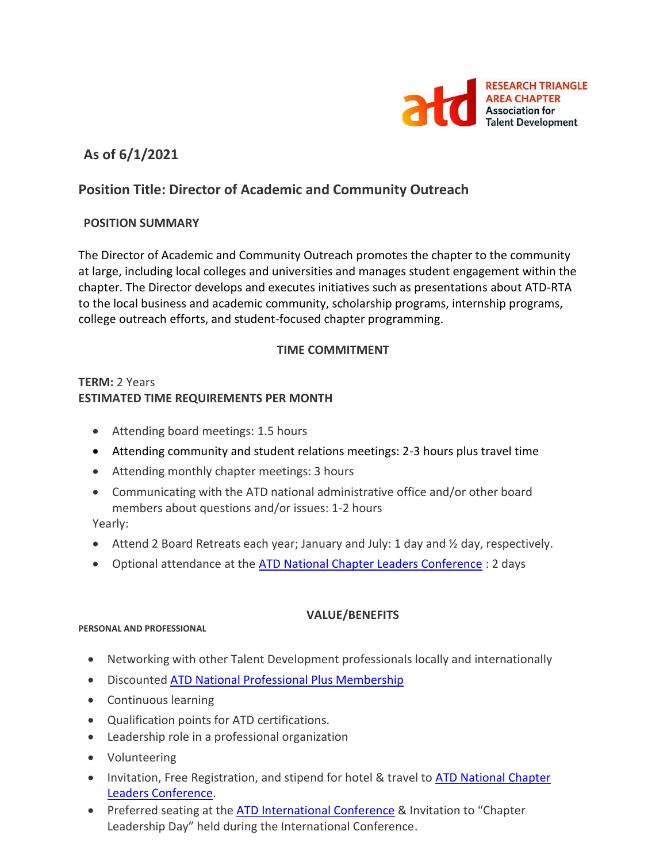

# **As of 6/1/2021**

# **Position Title: Director of Academic and Community Outreach**

## **POSITION SUMMARY**

The Director of Academic and Community Outreach promotes the chapter to the community at large, including local colleges and universities and manages student engagement within the chapter. The Director develops and executes initiatives such as presentations about ATD-RTA to the local business and academic community, scholarship programs, internship programs, college outreach efforts, and student-focused chapter programming.

## **TIME COMMITMENT**

# **TERM:** 2 Years **ESTIMATED TIME REQUIREMENTS PER MONTH**

- Attending board meetings: 1.5 hours
- Attending community and student relations meetings: 2-3 hours plus travel time
- Attending monthly chapter meetings: 3 hours
- Communicating with the ATD national administrative office and/or other board members about questions and/or issues: 1-2 hours

Yearly:

- Attend 2 Board Retreats each year; January and July: 1 day and ½ day, respectively.
- Optional attendance at the [ATD National Chapter Leaders Conference](https://events.td.org/Chapter-Leaders-Conference) : 2 days

## **VALUE/BENEFITS**

#### **PERSONAL AND PROFESSIONAL**

- Networking with other Talent Development professionals locally and internationally
- Discounted [ATD National Professional Plus Membership](https://checkout.td.org/Membership)
- Continuous learning
- Qualification points for ATD certifications.
- Leadership role in a professional organization
- Volunteering
- Invitation, Free Registration, and stipend for hotel & travel to **ATD National Chapter** [Leaders Conference.](https://events.td.org/Chapter-Leaders-Conference)
- Preferred seating at the [ATD International Conference](https://www.td.org/events) & Invitation to "Chapter Leadership Day" held during the International Conference.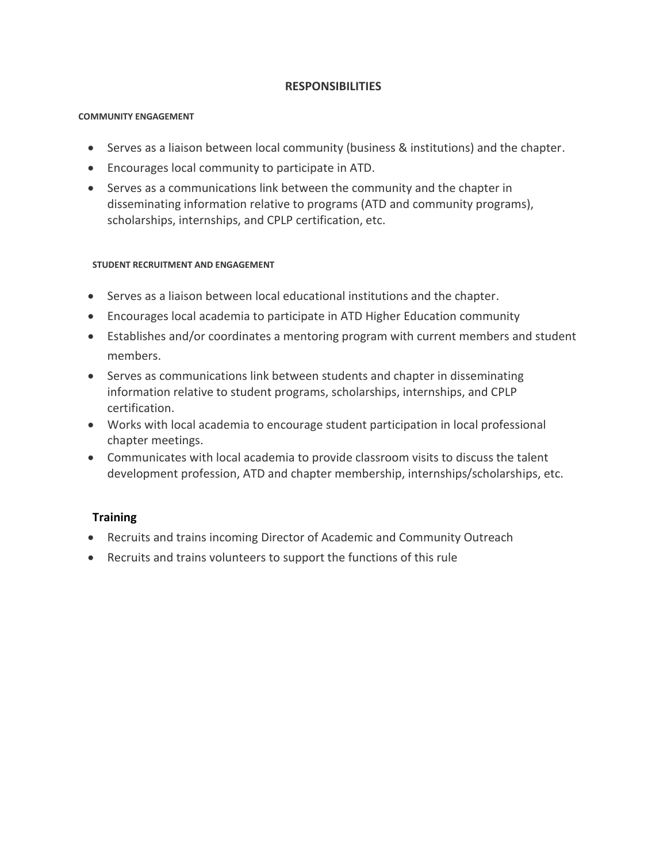## **RESPONSIBILITIES**

#### **COMMUNITY ENGAGEMENT**

- Serves as a liaison between local community (business & institutions) and the chapter.
- Encourages local community to participate in ATD.
- Serves as a communications link between the community and the chapter in disseminating information relative to programs (ATD and community programs), scholarships, internships, and CPLP certification, etc.

### **STUDENT RECRUITMENT AND ENGAGEMENT**

- Serves as a liaison between local educational institutions and the chapter.
- Encourages local academia to participate in ATD Higher Education community
- Establishes and/or coordinates a mentoring program with current members and student members.
- Serves as communications link between students and chapter in disseminating information relative to student programs, scholarships, internships, and CPLP certification.
- Works with local academia to encourage student participation in local professional chapter meetings.
- Communicates with local academia to provide classroom visits to discuss the talent development profession, ATD and chapter membership, internships/scholarships, etc.

## **Training**

- Recruits and trains incoming Director of Academic and Community Outreach
- Recruits and trains volunteers to support the functions of this rule